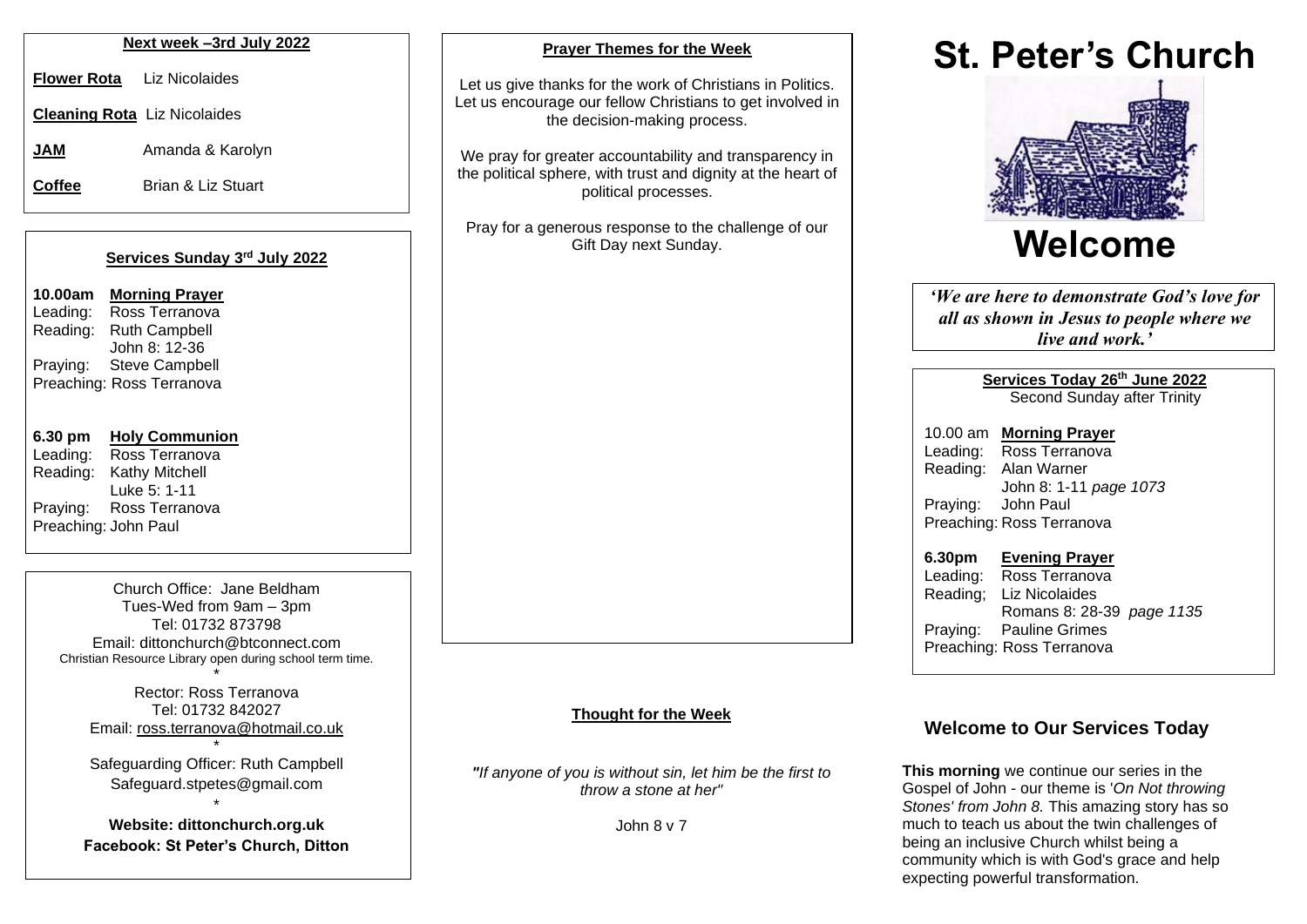#### **Next week –3rd July 2022**

**Flower Rota** Liz Nicolaides

**Cleaning Rota** Liz Nicolaides

**JAM** Amanda & Karolyn

**Coffee** Brian & Liz Stuart

#### **Services Sunday 3 rd July 2022**

| 10.00am  | <b>Morning Prayer</b>     |
|----------|---------------------------|
| Leading: | Ross Terranova            |
| Reading: | <b>Ruth Campbell</b>      |
|          | John 8: 12-36             |
| Praying: | <b>Steve Campbell</b>     |
|          | Preaching: Ross Terranova |

# **6.30 pm Holy Communion**

Leading: Ross Terranova Reading: Kathy Mitchell Luke 5: 1-11 Praying: Ross Terranova Preaching: John Paul

> Church Office: Jane Beldham Tues-Wed from 9am – 3pm Tel: 01732 873798 Email: [dittonchurch@btconnect.com](mailto:dittonchurch@btconnect.com) Christian Resource Library open during school term time.

\* Rector: Ross Terranova Tel: 01732 842027 Email: [ross.terranova@hotmail.co.uk](mailto:ross.terranova@hotmail.co.uk)

\* Safeguarding Officer: Ruth Campbell Safeguard.stpetes@gmail.com

\* **Website: dittonchurch.org.uk Facebook: St Peter's Church, Ditton**

#### **Prayer Themes for the Week**

Let us give thanks for the work of Christians in Politics. Let us encourage our fellow Christians to get involved in the decision-making process.

We pray for greater accountability and transparency in the political sphere, with trust and dignity at the heart of political processes.

Pray for a generous response to the challenge of our Gift Day next Sunday.

#### **Thought for the Week**

*"If anyone of you is without sin, let him be the first to throw a stone at her"*

John 8 v 7

# **St. Peter's Church**



*'We are here to demonstrate God's love for all as shown in Jesus to people where we live and work.'*

> **Services Today 26th June 2022** Second Sunday after Trinity

10.00 am **Morning Prayer** Leading: Ross Terranova Reading: Alan Warner John 8: 1-11 *page 1073* Praying: John Paul Preaching: Ross Terranova

**6.30pm Evening Prayer** Leading: Ross Terranova Reading; Liz Nicolaides Romans 8: 28-39 *page 1135* Praying: Pauline Grimes Preaching: Ross Terranova

# **Welcome to Our Services Today**

**This morning** we continue our series in the Gospel of John - our theme is '*On Not throwing Stones' from John 8.* This amazing story has so much to teach us about the twin challenges of being an inclusive Church whilst being a community which is with God's grace and help expecting powerful transformation.